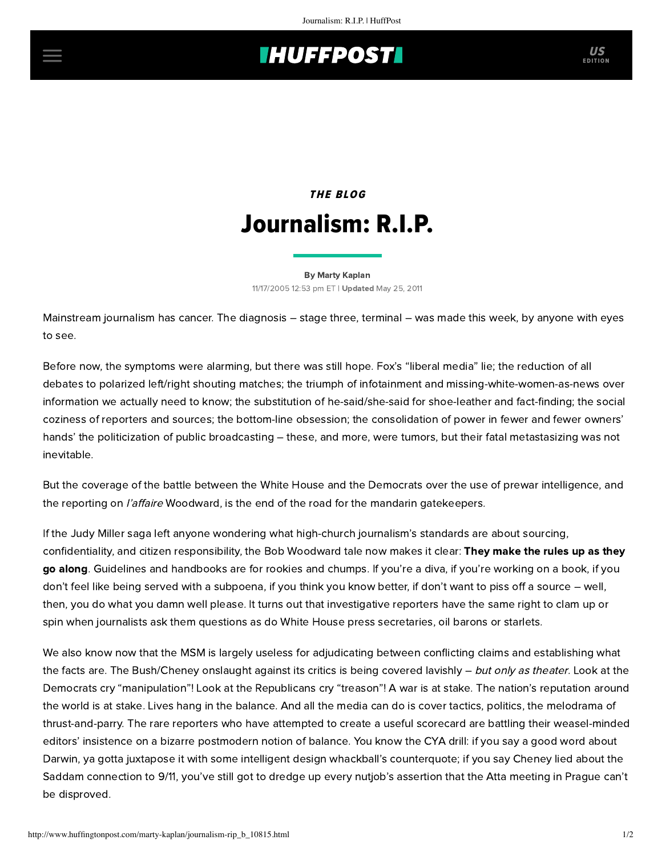## **INUFFPOSTI** US

## THE BLOG Journalism: R.I.P.

[By Marty Kaplan](http://www.huffingtonpost.com/author/marty-kaplan) 11/17/2005 12:53 pm ET | Updated May 25, 2011

Mainstream journalism has cancer. The diagnosis – stage three, terminal – was made this week, by anyone with eyes to see.

Before now, the symptoms were alarming, but there was still hope. Fox's "liberal media" lie; the reduction of all debates to polarized left/right shouting matches; the triumph of infotainment and missing-white-women-as-news over information we actually need to know; the substitution of he-said/she-said for shoe-leather and fact-finding; the social coziness of reporters and sources; the bottom-line obsession; the consolidation of power in fewer and fewer owners' hands' the politicization of public broadcasting – these, and more, were tumors, but their fatal metastasizing was not inevitable.

But the coverage of the battle between the White House and the Democrats over the use of prewar intelligence, and the reporting on *l'affaire* Woodward, is the end of the road for the mandarin gatekeepers.

If the Judy Miller saga left anyone wondering what high-church journalism's standards are about sourcing, confidentiality, and citizen responsibility, the Bob Woodward tale now makes it clear: They make the rules up as they go along. Guidelines and handbooks are for rookies and chumps. If you're a diva, if you're working on a book, if you don't feel like being served with a subpoena, if you think you know better, if don't want to piss off a source – well, then, you do what you damn well please. It turns out that investigative reporters have the same right to clam up or spin when journalists ask them questions as do White House press secretaries, oil barons or starlets.

We also know now that the MSM is largely useless for adjudicating between conflicting claims and establishing what the facts are. The Bush/Cheney onslaught against its critics is being covered lavishly – but only as theater. Look at the Democrats cry "manipulation"! Look at the Republicans cry "treason"! A war is at stake. The nation's reputation around the world is at stake. Lives hang in the balance. And all the media can do is cover tactics, politics, the melodrama of thrust-and-parry. The rare reporters who have attempted to create a useful scorecard are battling their weasel-minded editors' insistence on a bizarre postmodern notion of balance. You know the CYA drill: if you say a good word about Darwin, ya gotta juxtapose it with some intelligent design whackball's counterquote; if you say Cheney lied about the Saddam connection to 9/11, you've still got to dredge up every nutjob's assertion that the Atta meeting in Prague can't be disproved.